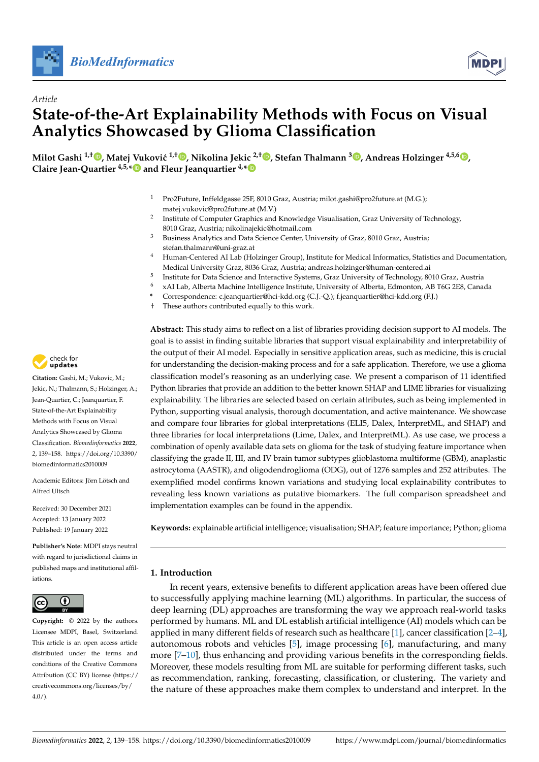



# *Article* **State-of-the-Art Explainability Methods with Focus on Visual Analytics Showcased by Glioma Classification**

 $\blacksquare$ Milot Gashi  $^{1, \dagger}$  $^{1, \dagger}$  $^{1, \dagger}$   $\blacksquare$ , Matej Vuković  $^{1, \dagger}$   $\blacksquare$ , Nikolina Jekic  $^{2, \dagger}$   $\blacksquare$ , Stefan Thalmann  $^3$   $\blacksquare$ , Andreas Holzinger  $^{4,5,6}$   $\blacksquare$ , **Claire Jean-Quartier 4,5,[\\*](https://orcid.org/0000-0002-0840-2173) and Fleur Jeanquartier 4,[\\*](https://orcid.org/0000-0001-8607-9255)**

- <sup>1</sup> Pro2Future, Inffeldgasse 25F, 8010 Graz, Austria; milot.gashi@pro2future.at (M.G.); matej.vukovic@pro2future.at (M.V.)
- 2 Institute of Computer Graphics and Knowledge Visualisation, Graz University of Technology, 8010 Graz, Austria; nikolinajekic@hotmail.com
- <sup>3</sup> Business Analytics and Data Science Center, University of Graz, 8010 Graz, Austria; stefan.thalmann@uni-graz.at
- <sup>4</sup> Human-Centered AI Lab (Holzinger Group), Institute for Medical Informatics, Statistics and Documentation, Medical University Graz, 8036 Graz, Austria; andreas.holzinger@human-centered.ai
- 5 Institute for Data Science and Interactive Systems, Graz University of Technology, 8010 Graz, Austria
- <sup>6</sup> xAI Lab, Alberta Machine Intelligence Institute, University of Alberta, Edmonton, AB T6G 2E8, Canada
- **\*** Correspondence: c.jeanquartier@hci-kdd.org (C.J.-Q.); f.jeanquartier@hci-kdd.org (F.J.)
- † These authors contributed equally to this work.

**Abstract:** This study aims to reflect on a list of libraries providing decision support to AI models. The goal is to assist in finding suitable libraries that support visual explainability and interpretability of the output of their AI model. Especially in sensitive application areas, such as medicine, this is crucial for understanding the decision-making process and for a safe application. Therefore, we use a glioma classification model's reasoning as an underlying case. We present a comparison of 11 identified Python libraries that provide an addition to the better known SHAP and LIME libraries for visualizing explainability. The libraries are selected based on certain attributes, such as being implemented in Python, supporting visual analysis, thorough documentation, and active maintenance. We showcase and compare four libraries for global interpretations (ELI5, Dalex, InterpretML, and SHAP) and three libraries for local interpretations (Lime, Dalex, and InterpretML). As use case, we process a combination of openly available data sets on glioma for the task of studying feature importance when classifying the grade II, III, and IV brain tumor subtypes glioblastoma multiforme (GBM), anaplastic astrocytoma (AASTR), and oligodendroglioma (ODG), out of 1276 samples and 252 attributes. The exemplified model confirms known variations and studying local explainability contributes to revealing less known variations as putative biomarkers. The full comparison spreadsheet and implementation examples can be found in the appendix.

**Keywords:** explainable artificial intelligence; visualisation; SHAP; feature importance; Python; glioma

# **1. Introduction**

In recent years, extensive benefits to different application areas have been offered due to successfully applying machine learning (ML) algorithms. In particular, the success of deep learning (DL) approaches are transforming the way we approach real-world tasks performed by humans. ML and DL establish artificial intelligence (AI) models which can be applied in many different fields of research such as healthcare [\[1\]](#page-17-0), cancer classification [\[2–](#page-17-1)[4\]](#page-17-2), autonomous robots and vehicles [\[5\]](#page-17-3), image processing [\[6\]](#page-17-4), manufacturing, and many more [\[7–](#page-17-5)[10\]](#page-18-0), thus enhancing and providing various benefits in the corresponding fields. Moreover, these models resulting from ML are suitable for performing different tasks, such as recommendation, ranking, forecasting, classification, or clustering. The variety and the nature of these approaches make them complex to understand and interpret. In the



**Citation:** Gashi, M.; Vukovic, M.; Jekic, N.; Thalmann, S.; Holzinger, A.; Jean-Quartier, C.; Jeanquartier, F. State-of-the-Art Explainability Methods with Focus on Visual Analytics Showcased by Glioma Classification. *Biomedinformatics* **2022**, *2*, 139–158. [https://doi.org/10.3390/](https://doi.org/10.3390/biomedinformatics2010009) [biomedinformatics2010009](https://doi.org/10.3390/biomedinformatics2010009)

Academic Editors: Jörn Lötsch and Alfred Ultsch

Received: 30 December 2021 Accepted: 13 January 2022 Published: 19 January 2022

**Publisher's Note:** MDPI stays neutral with regard to jurisdictional claims in published maps and institutional affiliations.



**Copyright:** © 2022 by the authors. Licensee MDPI, Basel, Switzerland. This article is an open access article distributed under the terms and conditions of the Creative Commons Attribution (CC BY) license [\(https://](https://creativecommons.org/licenses/by/4.0/) [creativecommons.org/licenses/by/](https://creativecommons.org/licenses/by/4.0/)  $4.0/$ ).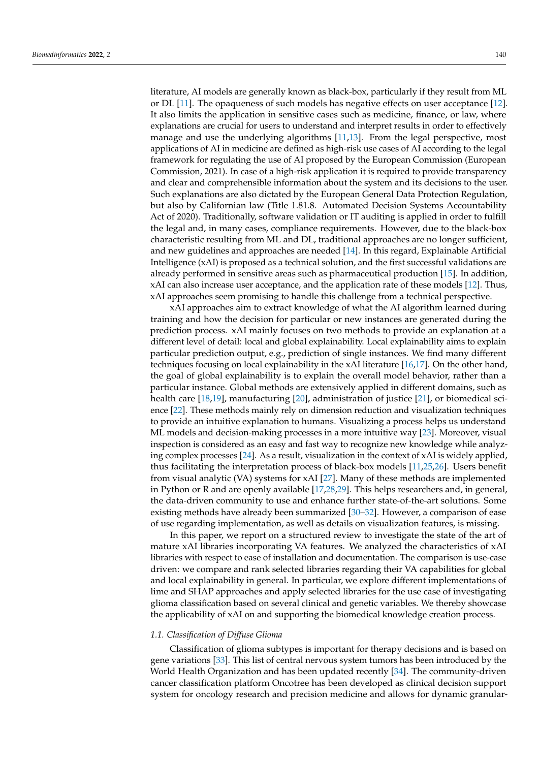literature, AI models are generally known as black-box, particularly if they result from ML or DL [\[11\]](#page-18-1). The opaqueness of such models has negative effects on user acceptance [\[12\]](#page-18-2). It also limits the application in sensitive cases such as medicine, finance, or law, where explanations are crucial for users to understand and interpret results in order to effectively manage and use the underlying algorithms [\[11,](#page-18-1)[13\]](#page-18-3). From the legal perspective, most applications of AI in medicine are defined as high-risk use cases of AI according to the legal framework for regulating the use of AI proposed by the European Commission (European Commission, 2021). In case of a high-risk application it is required to provide transparency and clear and comprehensible information about the system and its decisions to the user. Such explanations are also dictated by the European General Data Protection Regulation, but also by Californian law (Title 1.81.8. Automated Decision Systems Accountability Act of 2020). Traditionally, software validation or IT auditing is applied in order to fulfill the legal and, in many cases, compliance requirements. However, due to the black-box characteristic resulting from ML and DL, traditional approaches are no longer sufficient, and new guidelines and approaches are needed [\[14\]](#page-18-4). In this regard, Explainable Artificial Intelligence (xAI) is proposed as a technical solution, and the first successful validations are already performed in sensitive areas such as pharmaceutical production [\[15\]](#page-18-5). In addition, xAI can also increase user acceptance, and the application rate of these models [\[12\]](#page-18-2). Thus, xAI approaches seem promising to handle this challenge from a technical perspective.

xAI approaches aim to extract knowledge of what the AI algorithm learned during training and how the decision for particular or new instances are generated during the prediction process. xAI mainly focuses on two methods to provide an explanation at a different level of detail: local and global explainability. Local explainability aims to explain particular prediction output, e.g., prediction of single instances. We find many different techniques focusing on local explainability in the xAI literature [\[16,](#page-18-6)[17\]](#page-18-7). On the other hand, the goal of global explainability is to explain the overall model behavior, rather than a particular instance. Global methods are extensively applied in different domains, such as health care [\[18](#page-18-8)[,19\]](#page-18-9), manufacturing [\[20\]](#page-18-10), administration of justice [\[21\]](#page-18-11), or biomedical science [\[22\]](#page-18-12). These methods mainly rely on dimension reduction and visualization techniques to provide an intuitive explanation to humans. Visualizing a process helps us understand ML models and decision-making processes in a more intuitive way [\[23\]](#page-18-13). Moreover, visual inspection is considered as an easy and fast way to recognize new knowledge while analyzing complex processes [\[24\]](#page-18-14). As a result, visualization in the context of xAI is widely applied, thus facilitating the interpretation process of black-box models [\[11,](#page-18-1)[25,](#page-18-15)[26\]](#page-18-16). Users benefit from visual analytic (VA) systems for xAI [\[27\]](#page-18-17). Many of these methods are implemented in Python or R and are openly available [\[17,](#page-18-7)[28,](#page-18-18)[29\]](#page-18-19). This helps researchers and, in general, the data-driven community to use and enhance further state-of-the-art solutions. Some existing methods have already been summarized [\[30](#page-18-20)[–32\]](#page-18-21). However, a comparison of ease of use regarding implementation, as well as details on visualization features, is missing.

In this paper, we report on a structured review to investigate the state of the art of mature xAI libraries incorporating VA features. We analyzed the characteristics of xAI libraries with respect to ease of installation and documentation. The comparison is use-case driven: we compare and rank selected libraries regarding their VA capabilities for global and local explainability in general. In particular, we explore different implementations of lime and SHAP approaches and apply selected libraries for the use case of investigating glioma classification based on several clinical and genetic variables. We thereby showcase the applicability of xAI on and supporting the biomedical knowledge creation process.

## *1.1. Classification of Diffuse Glioma*

Classification of glioma subtypes is important for therapy decisions and is based on gene variations [\[33\]](#page-18-22). This list of central nervous system tumors has been introduced by the World Health Organization and has been updated recently [\[34\]](#page-18-23). The community-driven cancer classification platform Oncotree has been developed as clinical decision support system for oncology research and precision medicine and allows for dynamic granular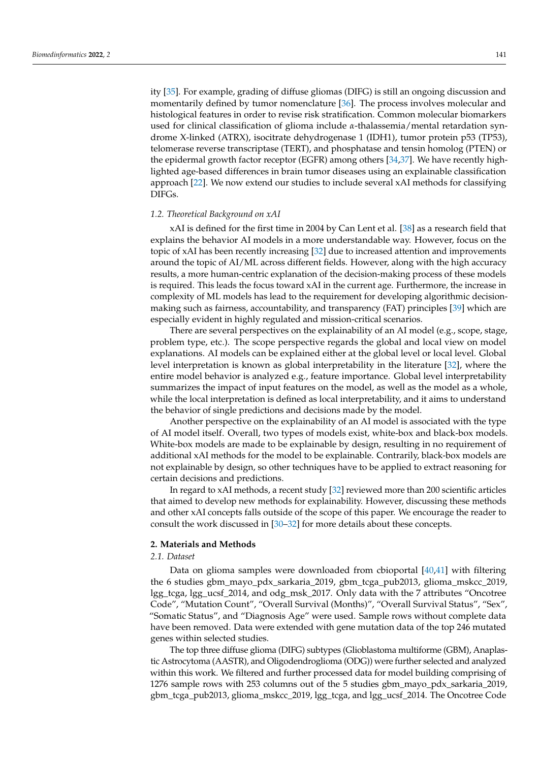ity [\[35\]](#page-18-24). For example, grading of diffuse gliomas (DIFG) is still an ongoing discussion and momentarily defined by tumor nomenclature [\[36\]](#page-19-0). The process involves molecular and histological features in order to revise risk stratification. Common molecular biomarkers used for clinical classification of glioma include *α*-thalassemia/mental retardation syndrome X-linked (ATRX), isocitrate dehydrogenase 1 (IDH1), tumor protein p53 (TP53), telomerase reverse transcriptase (TERT), and phosphatase and tensin homolog (PTEN) or the epidermal growth factor receptor (EGFR) among others [\[34](#page-18-23)[,37\]](#page-19-1). We have recently highlighted age-based differences in brain tumor diseases using an explainable classification approach [\[22\]](#page-18-12). We now extend our studies to include several xAI methods for classifying DIFGs.

#### *1.2. Theoretical Background on xAI*

xAI is defined for the first time in 2004 by Can Lent et al. [\[38\]](#page-19-2) as a research field that explains the behavior AI models in a more understandable way. However, focus on the topic of xAI has been recently increasing [\[32\]](#page-18-21) due to increased attention and improvements around the topic of AI/ML across different fields. However, along with the high accuracy results, a more human-centric explanation of the decision-making process of these models is required. This leads the focus toward xAI in the current age. Furthermore, the increase in complexity of ML models has lead to the requirement for developing algorithmic decisionmaking such as fairness, accountability, and transparency (FAT) principles [\[39\]](#page-19-3) which are especially evident in highly regulated and mission-critical scenarios.

There are several perspectives on the explainability of an AI model (e.g., scope, stage, problem type, etc.). The scope perspective regards the global and local view on model explanations. AI models can be explained either at the global level or local level. Global level interpretation is known as global interpretability in the literature [\[32\]](#page-18-21), where the entire model behavior is analyzed e.g., feature importance. Global level interpretability summarizes the impact of input features on the model, as well as the model as a whole, while the local interpretation is defined as local interpretability, and it aims to understand the behavior of single predictions and decisions made by the model.

Another perspective on the explainability of an AI model is associated with the type of AI model itself. Overall, two types of models exist, white-box and black-box models. White-box models are made to be explainable by design, resulting in no requirement of additional xAI methods for the model to be explainable. Contrarily, black-box models are not explainable by design, so other techniques have to be applied to extract reasoning for certain decisions and predictions.

In regard to xAI methods, a recent study [\[32\]](#page-18-21) reviewed more than 200 scientific articles that aimed to develop new methods for explainability. However, discussing these methods and other xAI concepts falls outside of the scope of this paper. We encourage the reader to consult the work discussed in [\[30–](#page-18-20)[32\]](#page-18-21) for more details about these concepts.

# **2. Materials and Methods**

# *2.1. Dataset*

Data on glioma samples were downloaded from cbioportal [\[40,](#page-19-4)[41\]](#page-19-5) with filtering the 6 studies gbm\_mayo\_pdx\_sarkaria\_2019, gbm\_tcga\_pub2013, glioma\_mskcc\_2019, lgg\_tcga, lgg\_ucsf\_2014, and odg\_msk\_2017. Only data with the 7 attributes "Oncotree Code", "Mutation Count", "Overall Survival (Months)", "Overall Survival Status", "Sex", "Somatic Status", and "Diagnosis Age" were used. Sample rows without complete data have been removed. Data were extended with gene mutation data of the top 246 mutated genes within selected studies.

The top three diffuse glioma (DIFG) subtypes (Glioblastoma multiforme (GBM), Anaplastic Astrocytoma (AASTR), and Oligodendroglioma (ODG)) were further selected and analyzed within this work. We filtered and further processed data for model building comprising of 1276 sample rows with 253 columns out of the 5 studies gbm\_mayo\_pdx\_sarkaria\_2019, gbm\_tcga\_pub2013, glioma\_mskcc\_2019, lgg\_tcga, and lgg\_ucsf\_2014. The Oncotree Code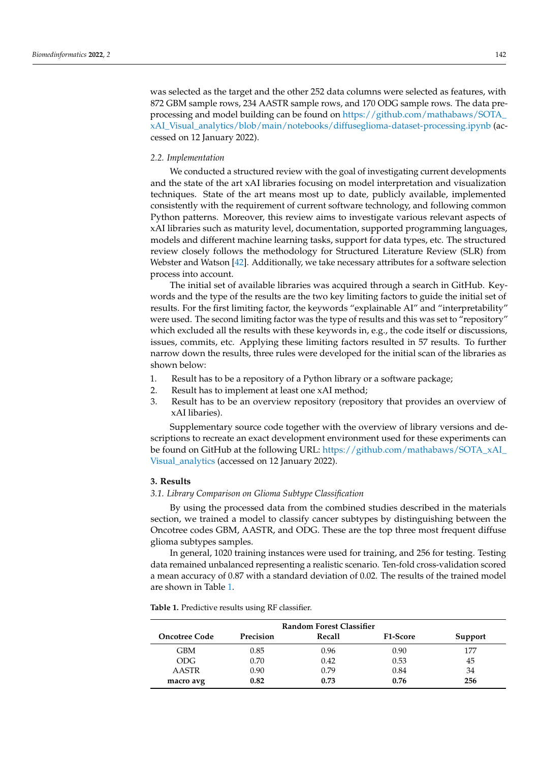was selected as the target and the other 252 data columns were selected as features, with 872 GBM sample rows, 234 AASTR sample rows, and 170 ODG sample rows. The data preprocessing and model building can be found on [https://github.com/mathabaws/SOTA\\_](https://github.com/mathabaws/SOTA_xAI_Visual_analytics/blob/main/notebooks/diffuseglioma-dataset-processing.ipynb) [xAI\\_Visual\\_analytics/blob/main/notebooks/diffuseglioma-dataset-processing.ipynb](https://github.com/mathabaws/SOTA_xAI_Visual_analytics/blob/main/notebooks/diffuseglioma-dataset-processing.ipynb) (accessed on 12 January 2022).

# *2.2. Implementation*

We conducted a structured review with the goal of investigating current developments and the state of the art xAI libraries focusing on model interpretation and visualization techniques. State of the art means most up to date, publicly available, implemented consistently with the requirement of current software technology, and following common Python patterns. Moreover, this review aims to investigate various relevant aspects of xAI libraries such as maturity level, documentation, supported programming languages, models and different machine learning tasks, support for data types, etc. The structured review closely follows the methodology for Structured Literature Review (SLR) from Webster and Watson [\[42\]](#page-19-6). Additionally, we take necessary attributes for a software selection process into account.

The initial set of available libraries was acquired through a search in GitHub. Keywords and the type of the results are the two key limiting factors to guide the initial set of results. For the first limiting factor, the keywords "explainable AI" and "interpretability" were used. The second limiting factor was the type of results and this was set to "repository" which excluded all the results with these keywords in, e.g., the code itself or discussions, issues, commits, etc. Applying these limiting factors resulted in 57 results. To further narrow down the results, three rules were developed for the initial scan of the libraries as shown below:

- 1. Result has to be a repository of a Python library or a software package;
- 2. Result has to implement at least one xAI method;
- 3. Result has to be an overview repository (repository that provides an overview of xAI libaries).

Supplementary source code together with the overview of library versions and descriptions to recreate an exact development environment used for these experiments can be found on GitHub at the following URL: [https://github.com/mathabaws/SOTA\\_xAI\\_](https://github.com/mathabaws/SOTA_xAI_Visual_analytics) [Visual\\_analytics](https://github.com/mathabaws/SOTA_xAI_Visual_analytics) (accessed on 12 January 2022).

# **3. Results**

#### <span id="page-3-1"></span>*3.1. Library Comparison on Glioma Subtype Classification*

By using the processed data from the combined studies described in the materials section, we trained a model to classify cancer subtypes by distinguishing between the Oncotree codes GBM, AASTR, and ODG. These are the top three most frequent diffuse glioma subtypes samples.

In general, 1020 training instances were used for training, and 256 for testing. Testing data remained unbalanced representing a realistic scenario. Ten-fold cross-validation scored a mean accuracy of 0.87 with a standard deviation of 0.02. The results of the trained model are shown in Table [1.](#page-3-0)

<span id="page-3-0"></span>**Table 1.** Predictive results using RF classifier.

| <b>Random Forest Classifier</b> |                  |        |                 |         |
|---------------------------------|------------------|--------|-----------------|---------|
| <b>Oncotree Code</b>            | <b>Precision</b> | Recall | <b>F1-Score</b> | Support |
| GBM                             | 0.85             | 0.96   | 0.90            |         |
| ODG.                            | 0.70             | 0.42   | 0.53            | 45      |
| AASTR                           | 0.90             | 0.79   | 0.84            | 34      |
| macro avg                       | 0.82             | 0.73   | 0.76            | 256     |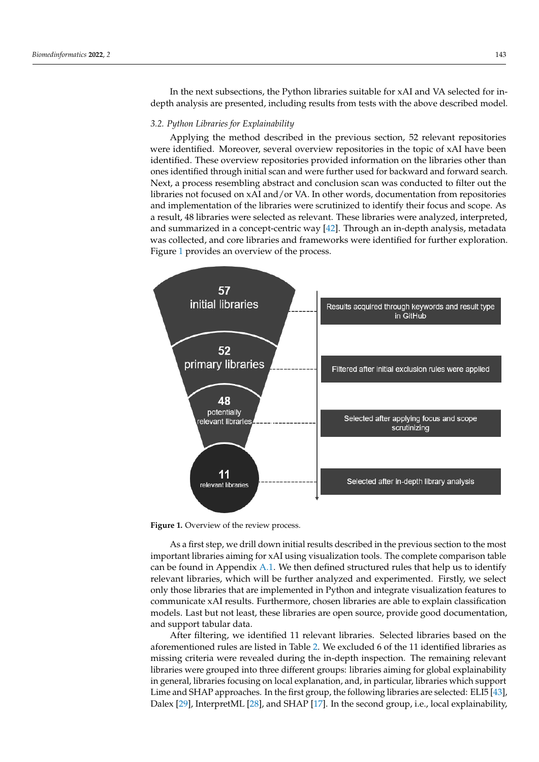In the next subsections, the Python libraries suitable for xAI and VA selected for indepth analysis are presented, including results from tests with the above described model.

# *3.2. Python Libraries for Explainability*

Applying the method described in the previous section, 52 relevant repositories were identified. Moreover, several overview repositories in the topic of xAI have been identified. These overview repositories provided information on the libraries other than ones identified through initial scan and were further used for backward and forward search. Next, a process resembling abstract and conclusion scan was conducted to filter out the libraries not focused on xAI and/or VA. In other words, documentation from repositories and implementation of the libraries were scrutinized to identify their focus and scope. As a result, 48 libraries were selected as relevant. These libraries were analyzed, interpreted, and summarized in a concept-centric way [\[42\]](#page-19-6). Through an in-depth analysis, metadata was collected, and core libraries and frameworks were identified for further exploration. Figure [1](#page-4-0) provides an overview of the process.

<span id="page-4-0"></span>

Figure 1. Overview of the review process.

As a first step, we drill down initial results described in the previous section to the most important libraries aiming for xAI using visualization tools. The complete comparison table can be found in Appendix  $A.1$ . We then defined structured rules that help us to identify relevant libraries, which will be further analyzed and experimented. Firstly, we select only those libraries that are implemented in Python and integrate visualization features to communicate xAI results. Furthermore, chosen libraries are able to explain classification models. Last but not least, these libraries are open source, provide good documentation, and support tabular data.

After filtering, we identified 11 relevant libraries. Selected libraries based on the aforementioned rules are listed in Table [2.](#page-5-0) We excluded 6 of the 11 identified libraries as missing criteria were revealed during the in-depth inspection. The remaining relevant libraries were grouped into three different groups: libraries aiming for global explainability in general, libraries focusing on local explanation, and, in particular, libraries which support Lime and SHAP approaches. In the first group, the following libraries are selected: ELI5 [\[43\]](#page-19-7), Dalex [\[29\]](#page-18-19), InterpretML [\[28\]](#page-18-18), and SHAP [\[17\]](#page-18-7). In the second group, i.e., local explainability,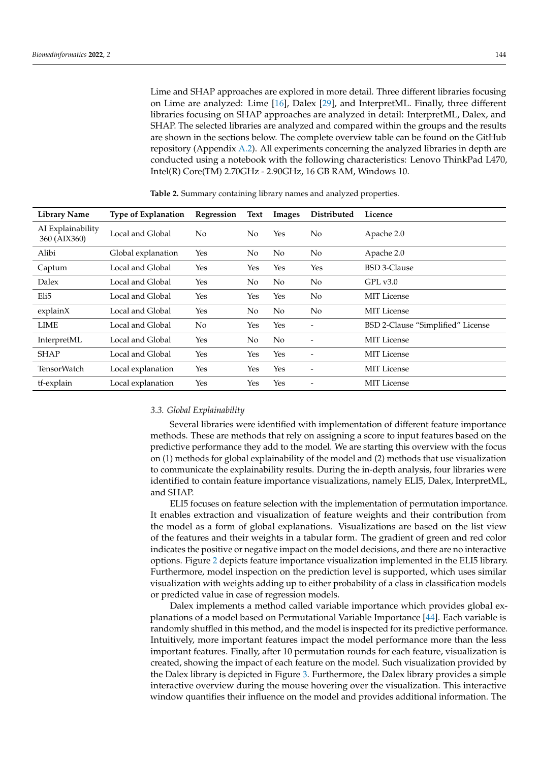Lime and SHAP approaches are explored in more detail. Three different libraries focusing on Lime are analyzed: Lime [\[16\]](#page-18-6), Dalex [\[29\]](#page-18-19), and InterpretML. Finally, three different libraries focusing on SHAP approaches are analyzed in detail: InterpretML, Dalex, and SHAP. The selected libraries are analyzed and compared within the groups and the results are shown in the sections below. The complete overview table can be found on the GitHub repository (Appendix [A.2\)](#page-17-7). All experiments concerning the analyzed libraries in depth are conducted using a notebook with the following characteristics: Lenovo ThinkPad L470, Intel(R) Core(TM) 2.70GHz - 2.90GHz, 16 GB RAM, Windows 10.

| <b>Library Name</b>               | <b>Type of Explanation</b> | Regression     | Text           | Images         | Distributed    | Licence                           |
|-----------------------------------|----------------------------|----------------|----------------|----------------|----------------|-----------------------------------|
| AI Explainability<br>360 (AIX360) | Local and Global           | N <sub>0</sub> | N <sub>0</sub> | Yes            | No             | Apache 2.0                        |
| Alibi                             | Global explanation         | Yes            | No             | N <sub>0</sub> | No             | Apache 2.0                        |
| Captum                            | Local and Global           | Yes            | Yes            | Yes            | Yes            | <b>BSD 3-Clause</b>               |
| Dalex                             | Local and Global           | Yes            | No             | No             | No             | GPL v3.0                          |
| Eli5                              | Local and Global           | Yes            | Yes            | Yes            | No             | <b>MIT</b> License                |
| explainX                          | Local and Global           | Yes            | No             | No             | No             | <b>MIT</b> License                |
| LIME                              | Local and Global           | N <sub>0</sub> | Yes            | Yes            | -              | BSD 2-Clause "Simplified" License |
| InterpretML                       | Local and Global           | Yes            | No             | N <sub>o</sub> | -              | <b>MIT</b> License                |
| <b>SHAP</b>                       | Local and Global           | Yes            | Yes            | Yes            | $\overline{ }$ | <b>MIT</b> License                |
| <b>TensorWatch</b>                | Local explanation          | Yes            | Yes            | Yes            | -              | <b>MIT</b> License                |
| tf-explain                        | Local explanation          | Yes            | Yes            | Yes            |                | <b>MIT</b> License                |

<span id="page-5-0"></span>**Table 2.** Summary containing library names and analyzed properties.

# *3.3. Global Explainability*

Several libraries were identified with implementation of different feature importance methods. These are methods that rely on assigning a score to input features based on the predictive performance they add to the model. We are starting this overview with the focus on (1) methods for global explainability of the model and (2) methods that use visualization to communicate the explainability results. During the in-depth analysis, four libraries were identified to contain feature importance visualizations, namely ELI5, Dalex, InterpretML, and SHAP.

ELI5 focuses on feature selection with the implementation of permutation importance. It enables extraction and visualization of feature weights and their contribution from the model as a form of global explanations. Visualizations are based on the list view of the features and their weights in a tabular form. The gradient of green and red color indicates the positive or negative impact on the model decisions, and there are no interactive options. Figure [2](#page-6-0) depicts feature importance visualization implemented in the ELI5 library. Furthermore, model inspection on the prediction level is supported, which uses similar visualization with weights adding up to either probability of a class in classification models or predicted value in case of regression models.

Dalex implements a method called variable importance which provides global explanations of a model based on Permutational Variable Importance [\[44\]](#page-19-8). Each variable is randomly shuffled in this method, and the model is inspected for its predictive performance. Intuitively, more important features impact the model performance more than the less important features. Finally, after 10 permutation rounds for each feature, visualization is created, showing the impact of each feature on the model. Such visualization provided by the Dalex library is depicted in Figure [3.](#page-6-1) Furthermore, the Dalex library provides a simple interactive overview during the mouse hovering over the visualization. This interactive window quantifies their influence on the model and provides additional information. The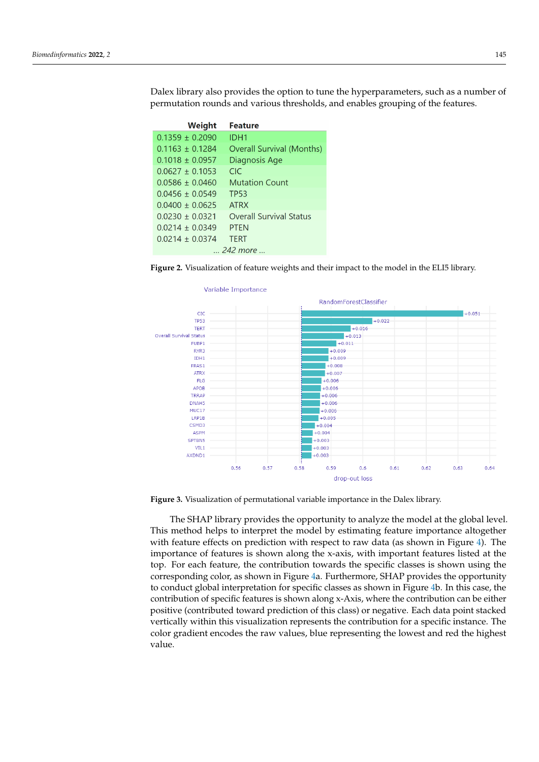Dalex library also provides the option to tune the hyperparameters, such as a number of permutation rounds and various thresholds, and enables grouping of the features.

<span id="page-6-0"></span>

| <b>Weight</b>     | <b>Feature</b>                 |
|-------------------|--------------------------------|
| $0.1359 + 0.2090$ | IDH1                           |
| $0.1163 + 0.1284$ | Overall Survival (Months)      |
| $0.1018 + 0.0957$ | Diagnosis Age                  |
| $0.0627 + 0.1053$ | CIC                            |
| $0.0586 + 0.0460$ | <b>Mutation Count</b>          |
| $0.0456 + 0.0549$ | TP53                           |
| $0.0400 + 0.0625$ | <b>ATRX</b>                    |
| $0.0230 + 0.0321$ | <b>Overall Survival Status</b> |
| $0.0214 + 0.0349$ | <b>PTFN</b>                    |
| $0.0214 + 0.0374$ | <b>TERT</b>                    |
|                   | $-$ 242 more                   |

<span id="page-6-1"></span>**Figure 2.** Visualization of feature weights and their impact to the model in the ELI5 library.



**Figure 3.** Visualization of permutational variable importance in the Dalex library.

The SHAP library provides the opportunity to analyze the model at the global level. This method helps to interpret the model by estimating feature importance altogether with feature effects on prediction with respect to raw data (as shown in Figure [4\)](#page-7-0). The importance of features is shown along the x-axis, with important features listed at the top. For each feature, the contribution towards the specific classes is shown using the corresponding color, as shown in Figure [4a](#page-7-0). Furthermore, SHAP provides the opportunity to conduct global interpretation for specific classes as shown in Figure [4b](#page-7-0). In this case, the contribution of specific features is shown along x-Axis, where the contribution can be either positive (contributed toward prediction of this class) or negative. Each data point stacked vertically within this visualization represents the contribution for a specific instance. The color gradient encodes the raw values, blue representing the lowest and red the highest value.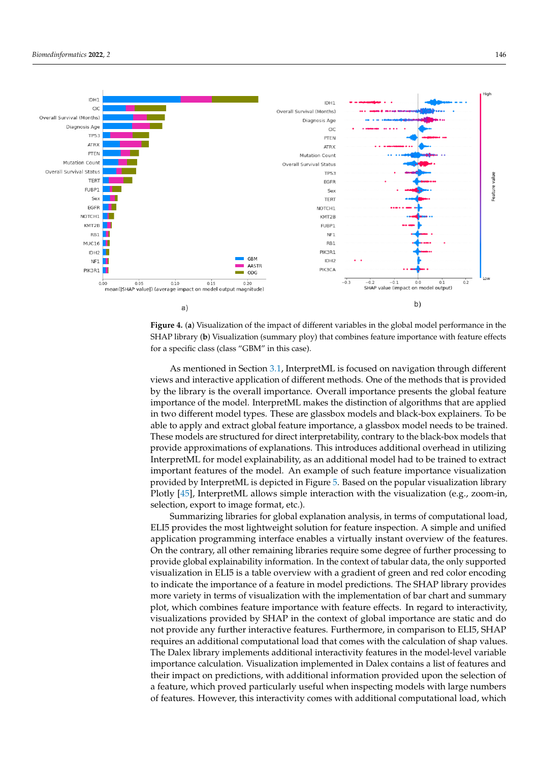<span id="page-7-0"></span>



As mentioned in Section [3.1,](#page-3-1) InterpretML is focused on navigation through different views and interactive application of different methods. One of the methods that is provided by the library is the overall importance. Overall importance presents the global feature importance of the model. InterpretML makes the distinction of algorithms that are applied in two different model types. These are glassbox models and black-box explainers. To be able to apply and extract global feature importance, a glassbox model needs to be trained. These models are structured for direct interpretability, contrary to the black-box models that provide approximations of explanations. This introduces additional overhead in utilizing InterpretML for model explainability, as an additional model had to be trained to extract important features of the model. An example of such feature importance visualization provided by InterpretML is depicted in Figure [5.](#page-8-0) Based on the popular visualization library Plotly [\[45\]](#page-19-9), InterpretML allows simple interaction with the visualization (e.g., zoom-in, selection, export to image format, etc.).

Summarizing libraries for global explanation analysis, in terms of computational load, ELI5 provides the most lightweight solution for feature inspection. A simple and unified application programming interface enables a virtually instant overview of the features. On the contrary, all other remaining libraries require some degree of further processing to provide global explainability information. In the context of tabular data, the only supported visualization in ELI5 is a table overview with a gradient of green and red color encoding to indicate the importance of a feature in model predictions. The SHAP library provides more variety in terms of visualization with the implementation of bar chart and summary plot, which combines feature importance with feature effects. In regard to interactivity, visualizations provided by SHAP in the context of global importance are static and do not provide any further interactive features. Furthermore, in comparison to ELI5, SHAP requires an additional computational load that comes with the calculation of shap values. The Dalex library implements additional interactivity features in the model-level variable importance calculation. Visualization implemented in Dalex contains a list of features and their impact on predictions, with additional information provided upon the selection of a feature, which proved particularly useful when inspecting models with large numbers of features. However, this interactivity comes with additional computational load, which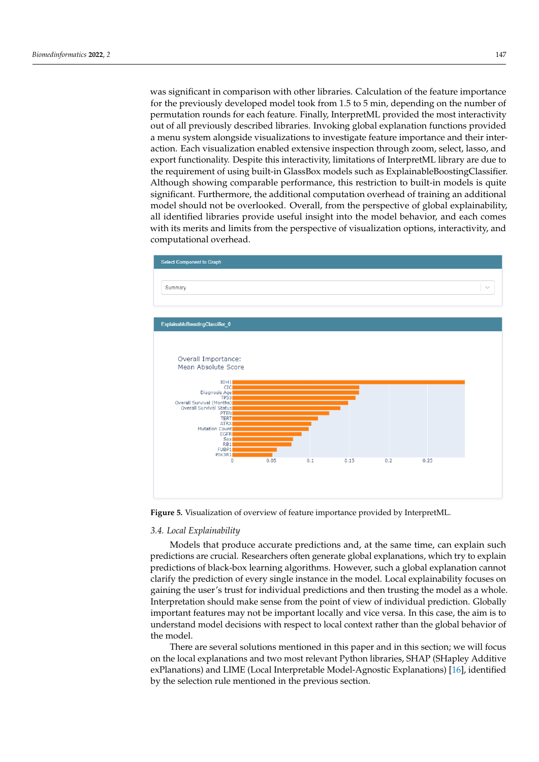was significant in comparison with other libraries. Calculation of the feature importance for the previously developed model took from 1.5 to 5 min, depending on the number of permutation rounds for each feature. Finally, InterpretML provided the most interactivity out of all previously described libraries. Invoking global explanation functions provided a menu system alongside visualizations to investigate feature importance and their interaction. Each visualization enabled extensive inspection through zoom, select, lasso, and export functionality. Despite this interactivity, limitations of InterpretML library are due to the requirement of using built-in GlassBox models such as ExplainableBoostingClassifier. Although showing comparable performance, this restriction to built-in models is quite significant. Furthermore, the additional computation overhead of training an additional model should not be overlooked. Overall, from the perspective of global explainability, all identified libraries provide useful insight into the model behavior, and each comes with its merits and limits from the perspective of visualization options, interactivity, and computational overhead.

<span id="page-8-0"></span>

**Figure 5.** Visualization of overview of feature importance provided by InterpretML.

#### *3.4. Local Explainability*

Models that produce accurate predictions and, at the same time, can explain such predictions are crucial. Researchers often generate global explanations, which try to explain predictions of black-box learning algorithms. However, such a global explanation cannot clarify the prediction of every single instance in the model. Local explainability focuses on gaining the user's trust for individual predictions and then trusting the model as a whole. Interpretation should make sense from the point of view of individual prediction. Globally important features may not be important locally and vice versa. In this case, the aim is to understand model decisions with respect to local context rather than the global behavior of the model.

There are several solutions mentioned in this paper and in this section; we will focus on the local explanations and two most relevant Python libraries, SHAP (SHapley Additive exPlanations) and LIME (Local Interpretable Model-Agnostic Explanations) [\[16\]](#page-18-6), identified by the selection rule mentioned in the previous section.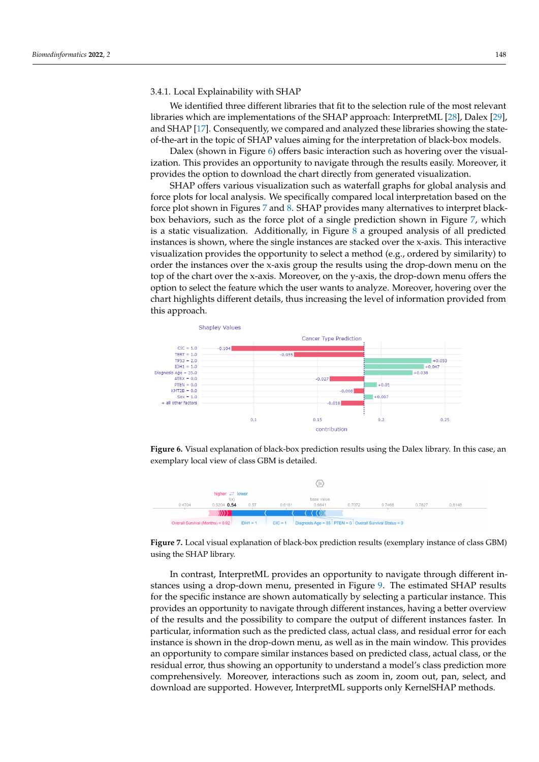#### 3.4.1. Local Explainability with SHAP

We identified three different libraries that fit to the selection rule of the most relevant libraries which are implementations of the SHAP approach: InterpretML [\[28\]](#page-18-18), Dalex [\[29\]](#page-18-19), and SHAP [\[17\]](#page-18-7). Consequently, we compared and analyzed these libraries showing the stateof-the-art in the topic of SHAP values aiming for the interpretation of black-box models.

Dalex (shown in Figure [6\)](#page-9-0) offers basic interaction such as hovering over the visualization. This provides an opportunity to navigate through the results easily. Moreover, it provides the option to download the chart directly from generated visualization.

SHAP offers various visualization such as waterfall graphs for global analysis and force plots for local analysis. We specifically compared local interpretation based on the force plot shown in Figures [7](#page-9-1) and [8.](#page-10-0) SHAP provides many alternatives to interpret blackbox behaviors, such as the force plot of a single prediction shown in Figure [7,](#page-9-1) which is a static visualization. Additionally, in Figure [8](#page-10-0) a grouped analysis of all predicted instances is shown, where the single instances are stacked over the x-axis. This interactive visualization provides the opportunity to select a method (e.g., ordered by similarity) to order the instances over the x-axis group the results using the drop-down menu on the top of the chart over the x-axis. Moreover, on the y-axis, the drop-down menu offers the option to select the feature which the user wants to analyze. Moreover, hovering over the chart highlights different details, thus increasing the level of information provided from this approach.

<span id="page-9-0"></span>

**Figure 6.** Visual explanation of black-box prediction results using the Dalex library. In this case, an exemplary local view of class GBM is detailed.

<span id="page-9-1"></span>

**Figure 7.** Local visual explanation of black-box prediction results (exemplary instance of class GBM) using the SHAP library.

In contrast, InterpretML provides an opportunity to navigate through different instances using a drop-down menu, presented in Figure [9.](#page-10-1) The estimated SHAP results for the specific instance are shown automatically by selecting a particular instance. This provides an opportunity to navigate through different instances, having a better overview of the results and the possibility to compare the output of different instances faster. In particular, information such as the predicted class, actual class, and residual error for each instance is shown in the drop-down menu, as well as in the main window. This provides an opportunity to compare similar instances based on predicted class, actual class, or the residual error, thus showing an opportunity to understand a model's class prediction more comprehensively. Moreover, interactions such as zoom in, zoom out, pan, select, and download are supported. However, InterpretML supports only KernelSHAP methods.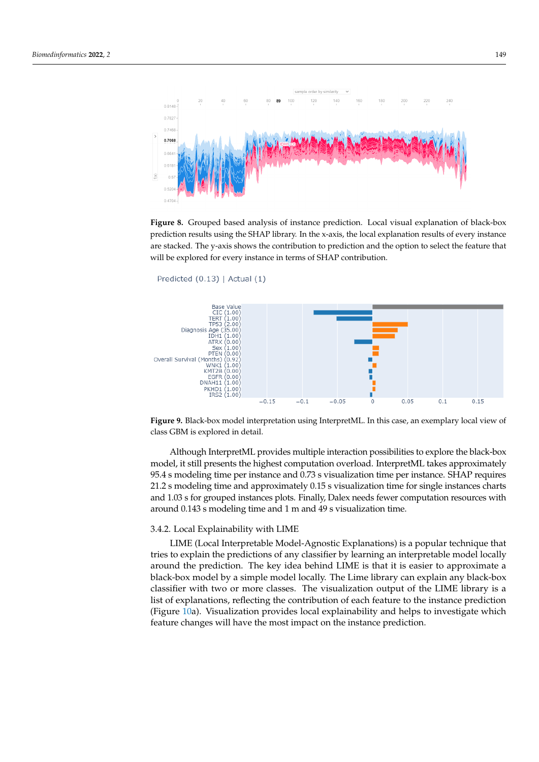<span id="page-10-0"></span>

**Figure 8.** Grouped based analysis of instance prediction. Local visual explanation of black-box prediction results using the SHAP library. In the x-axis, the local explanation results of every instance are stacked. The y-axis shows the contribution to prediction and the option to select the feature that will be explored for every instance in terms of SHAP contribution.

```
Predicted (0.13) | Actual (1)
```


**Figure 9.** Black-box model interpretation using InterpretML. In this case, an exemplary local view of class GBM is explored in detail.

Although InterpretML provides multiple interaction possibilities to explore the black-box model, it still presents the highest computation overload. InterpretML takes approximately 95.4 s modeling time per instance and 0.73 s visualization time per instance. SHAP requires 21.2 s modeling time and approximately 0.15 s visualization time for single instances charts and 1.03 s for grouped instances plots. Finally, Dalex needs fewer computation resources with around 0.143 s modeling time and 1 m and 49 s visualization time.

#### 3.4.2. Local Explainability with LIME

LIME (Local Interpretable Model-Agnostic Explanations) is a popular technique that tries to explain the predictions of any classifier by learning an interpretable model locally around the prediction. The key idea behind LIME is that it is easier to approximate a black-box model by a simple model locally. The Lime library can explain any black-box classifier with two or more classes. The visualization output of the LIME library is a list of explanations, reflecting the contribution of each feature to the instance prediction (Figure [10a](#page-11-0)). Visualization provides local explainability and helps to investigate which feature changes will have the most impact on the instance prediction.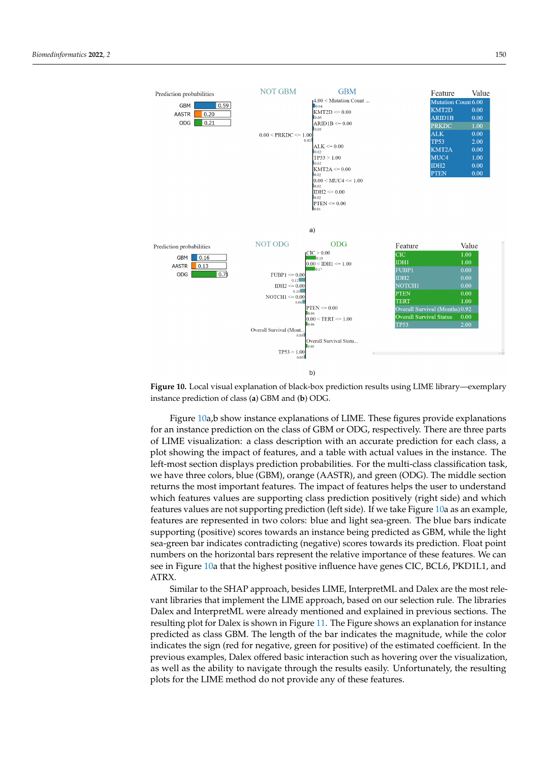<span id="page-11-0"></span>

**Figure 10.** Local visual explanation of black-box prediction results using LIME library—exemplary instance prediction of class (**a**) GBM and (**b**) ODG.

Figure [10a](#page-11-0),b show instance explanations of LIME. These figures provide explanations for an instance prediction on the class of GBM or ODG, respectively. There are three parts of LIME visualization: a class description with an accurate prediction for each class, a plot showing the impact of features, and a table with actual values in the instance. The left-most section displays prediction probabilities. For the multi-class classification task, we have three colors, blue (GBM), orange (AASTR), and green (ODG). The middle section returns the most important features. The impact of features helps the user to understand which features values are supporting class prediction positively (right side) and which features values are not supporting prediction (left side). If we take Figure [10a](#page-11-0) as an example, features are represented in two colors: blue and light sea-green. The blue bars indicate supporting (positive) scores towards an instance being predicted as GBM, while the light sea-green bar indicates contradicting (negative) scores towards its prediction. Float point numbers on the horizontal bars represent the relative importance of these features. We can see in Figure [10a](#page-11-0) that the highest positive influence have genes CIC, BCL6, PKD1L1, and ATRX.

Similar to the SHAP approach, besides LIME, InterpretML and Dalex are the most relevant libraries that implement the LIME approach, based on our selection rule. The libraries Dalex and InterpretML were already mentioned and explained in previous sections. The resulting plot for Dalex is shown in Figure [11.](#page-12-0) The Figure shows an explanation for instance predicted as class GBM. The length of the bar indicates the magnitude, while the color indicates the sign (red for negative, green for positive) of the estimated coefficient. In the previous examples, Dalex offered basic interaction such as hovering over the visualization, as well as the ability to navigate through the results easily. Unfortunately, the resulting plots for the LIME method do not provide any of these features.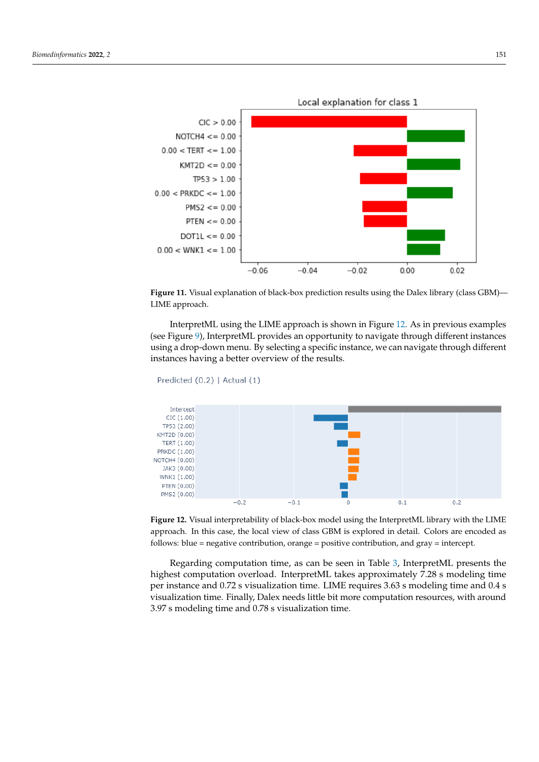<span id="page-12-0"></span>

**Figure 11.** Visual explanation of black-box prediction results using the Dalex library (class GBM)— LIME approach.

InterpretML using the LIME approach is shown in Figure [12.](#page-12-1) As in previous examples (see Figure [9\)](#page-10-1), InterpretML provides an opportunity to navigate through different instances using a drop-down menu. By selecting a specific instance, we can navigate through different instances having a better overview of the results.

```
Predicted (0.2) | Actual (1)
```


**Figure 12.** Visual interpretability of black-box model using the InterpretML library with the LIME approach. In this case, the local view of class GBM is explored in detail. Colors are encoded as follows: blue = negative contribution, orange = positive contribution, and gray = intercept.

Regarding computation time, as can be seen in Table [3,](#page-13-0) InterpretML presents the highest computation overload. InterpretML takes approximately 7.28 s modeling time per instance and 0.72 s visualization time. LIME requires 3.63 s modeling time and 0.4 s visualization time. Finally, Dalex needs little bit more computation resources, with around 3.97 s modeling time and 0.78 s visualization time.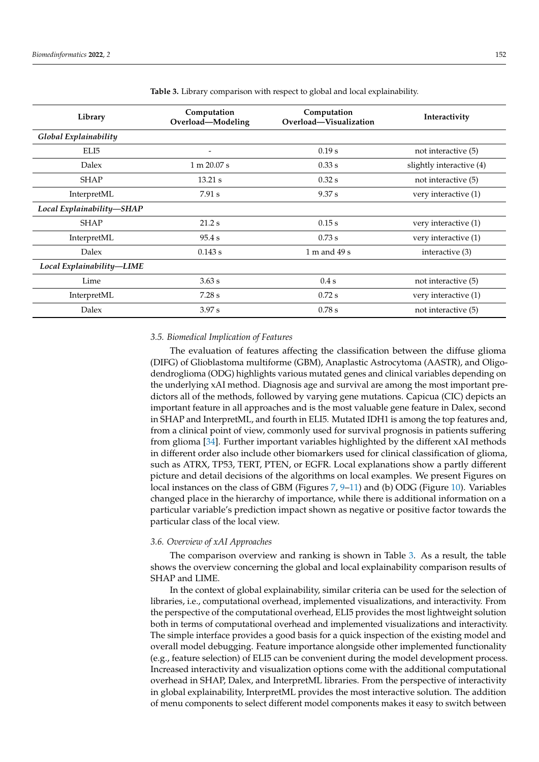| Library                      | Computation       | Computation            | Interactivity            |  |
|------------------------------|-------------------|------------------------|--------------------------|--|
|                              | Overload-Modeling | Overload-Visualization |                          |  |
| <b>Global Explainability</b> |                   |                        |                          |  |
| ELI5                         |                   | 0.19 s                 | not interactive (5)      |  |
| Dalex                        | 1 m 20.07 s       | 0.33 s                 | slightly interactive (4) |  |
| <b>SHAP</b>                  | 13.21 s           | $0.32$ s               | not interactive (5)      |  |
| InterpretML                  | 7.91 s            | 9.37 s                 | very interactive (1)     |  |
| Local Explainability-SHAP    |                   |                        |                          |  |
| <b>SHAP</b>                  | 21.2 s            | 0.15 s                 | very interactive (1)     |  |
| InterpretML                  | 95.4 s            | $0.73$ s               | very interactive (1)     |  |
| <b>Dalex</b>                 | 0.143 s           | 1 m and 49 s           | interactive (3)          |  |
| Local Explainability-LIME    |                   |                        |                          |  |
| Lime                         | 3.63 s            | 0.4 s                  | not interactive (5)      |  |
| InterpretML                  | 7.28 s            | $0.72$ s               | very interactive (1)     |  |
| Dalex                        | 3.97 s            | 0.78 s                 | not interactive (5)      |  |

<span id="page-13-0"></span>**Table 3.** Library comparison with respect to global and local explainability.

#### *3.5. Biomedical Implication of Features*

The evaluation of features affecting the classification between the diffuse glioma (DIFG) of Glioblastoma multiforme (GBM), Anaplastic Astrocytoma (AASTR), and Oligodendroglioma (ODG) highlights various mutated genes and clinical variables depending on the underlying xAI method. Diagnosis age and survival are among the most important predictors all of the methods, followed by varying gene mutations. Capicua (CIC) depicts an important feature in all approaches and is the most valuable gene feature in Dalex, second in SHAP and InterpretML, and fourth in ELI5. Mutated IDH1 is among the top features and, from a clinical point of view, commonly used for survival prognosis in patients suffering from glioma [\[34\]](#page-18-23). Further important variables highlighted by the different xAI methods in different order also include other biomarkers used for clinical classification of glioma, such as ATRX, TP53, TERT, PTEN, or EGFR. Local explanations show a partly different picture and detail decisions of the algorithms on local examples. We present Figures on local instances on the class of GBM (Figures [7,](#page-9-1) [9](#page-10-1)[–11\)](#page-12-0) and (b) ODG (Figure [10\)](#page-11-0). Variables changed place in the hierarchy of importance, while there is additional information on a particular variable's prediction impact shown as negative or positive factor towards the particular class of the local view.

#### *3.6. Overview of xAI Approaches*

The comparison overview and ranking is shown in Table [3.](#page-13-0) As a result, the table shows the overview concerning the global and local explainability comparison results of SHAP and LIME.

In the context of global explainability, similar criteria can be used for the selection of libraries, i.e., computational overhead, implemented visualizations, and interactivity. From the perspective of the computational overhead, ELI5 provides the most lightweight solution both in terms of computational overhead and implemented visualizations and interactivity. The simple interface provides a good basis for a quick inspection of the existing model and overall model debugging. Feature importance alongside other implemented functionality (e.g., feature selection) of ELI5 can be convenient during the model development process. Increased interactivity and visualization options come with the additional computational overhead in SHAP, Dalex, and InterpretML libraries. From the perspective of interactivity in global explainability, InterpretML provides the most interactive solution. The addition of menu components to select different model components makes it easy to switch between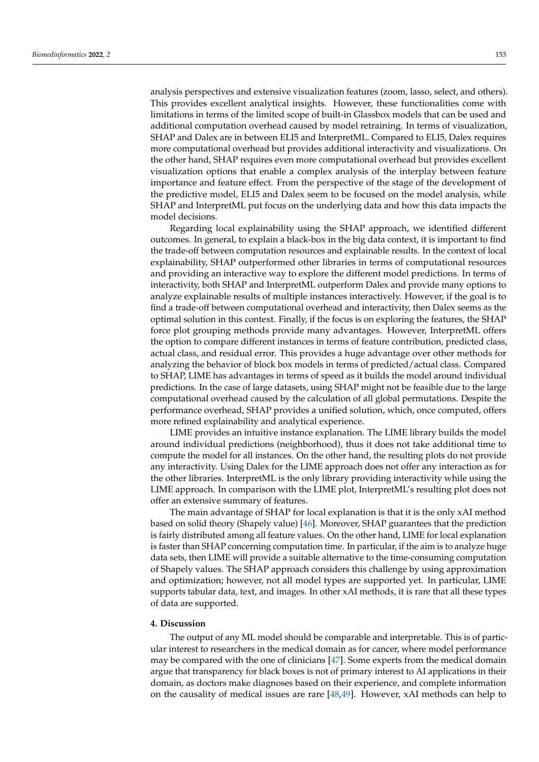analysis perspectives and extensive visualization features (zoom, lasso, select, and others). This provides excellent analytical insights. However, these functionalities come with limitations in terms of the limited scope of built-in Glassbox models that can be used and additional computation overhead caused by model retraining. In terms of visualization, SHAP and Dalex are in between ELI5 and InterpretML. Compared to ELI5, Dalex requires more computational overhead but provides additional interactivity and visualizations. On the other hand, SHAP requires even more computational overhead but provides excellent visualization options that enable a complex analysis of the interplay between feature importance and feature effect. From the perspective of the stage of the development of the predictive model, ELI5 and Dalex seem to be focused on the model analysis, while SHAP and InterpretML put focus on the underlying data and how this data impacts the model decisions.

Regarding local explainability using the SHAP approach, we identified different outcomes. In general, to explain a black-box in the big data context, it is important to find the trade-off between computation resources and explainable results. In the context of local explainability, SHAP outperformed other libraries in terms of computational resources and providing an interactive way to explore the different model predictions. In terms of interactivity, both SHAP and InterpretML outperform Dalex and provide many options to analyze explainable results of multiple instances interactively. However, if the goal is to find a trade-off between computational overhead and interactivity, then Dalex seems as the optimal solution in this context. Finally, if the focus is on exploring the features, the SHAP force plot grouping methods provide many advantages. However, InterpretML offers the option to compare different instances in terms of feature contribution, predicted class, actual class, and residual error. This provides a huge advantage over other methods for analyzing the behavior of block box models in terms of predicted/actual class. Compared to SHAP, LIME has advantages in terms of speed as it builds the model around individual predictions. In the case of large datasets, using SHAP might not be feasible due to the large computational overhead caused by the calculation of all global permutations. Despite the performance overhead, SHAP provides a unified solution, which, once computed, offers more refined explainability and analytical experience.

LIME provides an intuitive instance explanation. The LIME library builds the model around individual predictions (neighborhood), thus it does not take additional time to compute the model for all instances. On the other hand, the resulting plots do not provide any interactivity. Using Dalex for the LIME approach does not offer any interaction as for the other libraries. InterpretML is the only library providing interactivity while using the LIME approach. In comparison with the LIME plot, InterpretML's resulting plot does not offer an extensive summary of features.

The main advantage of SHAP for local explanation is that it is the only xAI method based on solid theory (Shapely value) [\[46\]](#page-19-10). Moreover, SHAP guarantees that the prediction is fairly distributed among all feature values. On the other hand, LIME for local explanation is faster than SHAP concerning computation time. In particular, if the aim is to analyze huge data sets, then LIME will provide a suitable alternative to the time-consuming computation of Shapely values. The SHAP approach considers this challenge by using approximation and optimization; however, not all model types are supported yet. In particular, LIME supports tabular data, text, and images. In other xAI methods, it is rare that all these types of data are supported.

#### **4. Discussion**

The output of any ML model should be comparable and interpretable. This is of particular interest to researchers in the medical domain as for cancer, where model performance may be compared with the one of clinicians [\[47\]](#page-19-11). Some experts from the medical domain argue that transparency for black boxes is not of primary interest to AI applications in their domain, as doctors make diagnoses based on their experience, and complete information on the causality of medical issues are rare [\[48](#page-19-12)[,49\]](#page-19-13). However, xAI methods can help to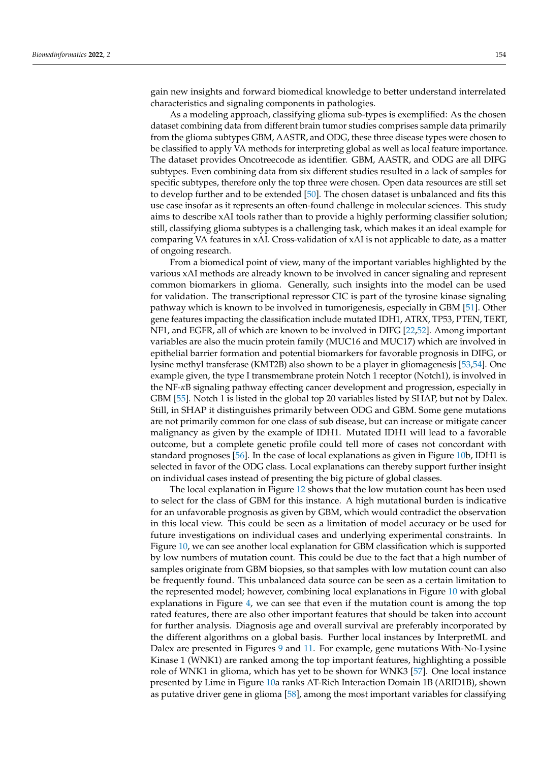gain new insights and forward biomedical knowledge to better understand interrelated characteristics and signaling components in pathologies.

As a modeling approach, classifying glioma sub-types is exemplified: As the chosen dataset combining data from different brain tumor studies comprises sample data primarily from the glioma subtypes GBM, AASTR, and ODG, these three disease types were chosen to be classified to apply VA methods for interpreting global as well as local feature importance. The dataset provides Oncotreecode as identifier. GBM, AASTR, and ODG are all DIFG subtypes. Even combining data from six different studies resulted in a lack of samples for specific subtypes, therefore only the top three were chosen. Open data resources are still set to develop further and to be extended [\[50\]](#page-19-14). The chosen dataset is unbalanced and fits this use case insofar as it represents an often-found challenge in molecular sciences. This study aims to describe xAI tools rather than to provide a highly performing classifier solution; still, classifying glioma subtypes is a challenging task, which makes it an ideal example for comparing VA features in xAI. Cross-validation of xAI is not applicable to date, as a matter of ongoing research.

From a biomedical point of view, many of the important variables highlighted by the various xAI methods are already known to be involved in cancer signaling and represent common biomarkers in glioma. Generally, such insights into the model can be used for validation. The transcriptional repressor CIC is part of the tyrosine kinase signaling pathway which is known to be involved in tumorigenesis, especially in GBM [\[51\]](#page-19-15). Other gene features impacting the classification include mutated IDH1, ATRX, TP53, PTEN, TERT, NF1, and EGFR, all of which are known to be involved in DIFG [\[22,](#page-18-12)[52\]](#page-19-16). Among important variables are also the mucin protein family (MUC16 and MUC17) which are involved in epithelial barrier formation and potential biomarkers for favorable prognosis in DIFG, or lysine methyl transferase (KMT2B) also shown to be a player in gliomagenesis [\[53](#page-19-17)[,54\]](#page-19-18). One example given, the type I transmembrane protein Notch 1 receptor (Notch1), is involved in the NF-*κ*B signaling pathway effecting cancer development and progression, especially in GBM [\[55\]](#page-19-19). Notch 1 is listed in the global top 20 variables listed by SHAP, but not by Dalex. Still, in SHAP it distinguishes primarily between ODG and GBM. Some gene mutations are not primarily common for one class of sub disease, but can increase or mitigate cancer malignancy as given by the example of IDH1. Mutated IDH1 will lead to a favorable outcome, but a complete genetic profile could tell more of cases not concordant with standard prognoses [\[56\]](#page-19-20). In the case of local explanations as given in Figure [10b](#page-11-0), IDH1 is selected in favor of the ODG class. Local explanations can thereby support further insight on individual cases instead of presenting the big picture of global classes.

The local explanation in Figure [12](#page-12-1) shows that the low mutation count has been used to select for the class of GBM for this instance. A high mutational burden is indicative for an unfavorable prognosis as given by GBM, which would contradict the observation in this local view. This could be seen as a limitation of model accuracy or be used for future investigations on individual cases and underlying experimental constraints. In Figure [10,](#page-11-0) we can see another local explanation for GBM classification which is supported by low numbers of mutation count. This could be due to the fact that a high number of samples originate from GBM biopsies, so that samples with low mutation count can also be frequently found. This unbalanced data source can be seen as a certain limitation to the represented model; however, combining local explanations in Figure [10](#page-11-0) with global explanations in Figure [4,](#page-7-0) we can see that even if the mutation count is among the top rated features, there are also other important features that should be taken into account for further analysis. Diagnosis age and overall survival are preferably incorporated by the different algorithms on a global basis. Further local instances by InterpretML and Dalex are presented in Figures [9](#page-10-1) and [11.](#page-12-0) For example, gene mutations With-No-Lysine Kinase 1 (WNK1) are ranked among the top important features, highlighting a possible role of WNK1 in glioma, which has yet to be shown for WNK3 [\[57\]](#page-19-21). One local instance presented by Lime in Figure [10a](#page-11-0) ranks AT-Rich Interaction Domain 1B (ARID1B), shown as putative driver gene in glioma [\[58\]](#page-19-22), among the most important variables for classifying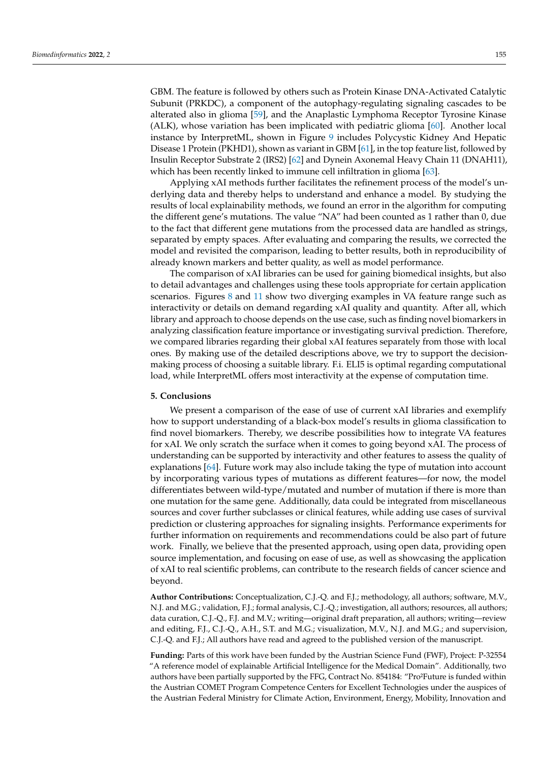GBM. The feature is followed by others such as Protein Kinase DNA-Activated Catalytic Subunit (PRKDC), a component of the autophagy-regulating signaling cascades to be alterated also in glioma [\[59\]](#page-19-23), and the Anaplastic Lymphoma Receptor Tyrosine Kinase (ALK), whose variation has been implicated with pediatric glioma [\[60\]](#page-19-24). Another local instance by InterpretML, shown in Figure [9](#page-10-1) includes Polycystic Kidney And Hepatic Disease 1 Protein (PKHD1), shown as variant in GBM [\[61\]](#page-19-25), in the top feature list, followed by Insulin Receptor Substrate 2 (IRS2) [\[62\]](#page-19-26) and Dynein Axonemal Heavy Chain 11 (DNAH11), which has been recently linked to immune cell infiltration in glioma [\[63\]](#page-19-27).

Applying xAI methods further facilitates the refinement process of the model's underlying data and thereby helps to understand and enhance a model. By studying the results of local explainability methods, we found an error in the algorithm for computing the different gene's mutations. The value "NA" had been counted as 1 rather than 0, due to the fact that different gene mutations from the processed data are handled as strings, separated by empty spaces. After evaluating and comparing the results, we corrected the model and revisited the comparison, leading to better results, both in reproducibility of already known markers and better quality, as well as model performance.

The comparison of xAI libraries can be used for gaining biomedical insights, but also to detail advantages and challenges using these tools appropriate for certain application scenarios. Figures [8](#page-10-0) and [11](#page-12-0) show two diverging examples in VA feature range such as interactivity or details on demand regarding xAI quality and quantity. After all, which library and approach to choose depends on the use case, such as finding novel biomarkers in analyzing classification feature importance or investigating survival prediction. Therefore, we compared libraries regarding their global xAI features separately from those with local ones. By making use of the detailed descriptions above, we try to support the decisionmaking process of choosing a suitable library. F.i. ELI5 is optimal regarding computational load, while InterpretML offers most interactivity at the expense of computation time.

# **5. Conclusions**

We present a comparison of the ease of use of current xAI libraries and exemplify how to support understanding of a black-box model's results in glioma classification to find novel biomarkers. Thereby, we describe possibilities how to integrate VA features for xAI. We only scratch the surface when it comes to going beyond xAI. The process of understanding can be supported by interactivity and other features to assess the quality of explanations [\[64\]](#page-19-28). Future work may also include taking the type of mutation into account by incorporating various types of mutations as different features—for now, the model differentiates between wild-type/mutated and number of mutation if there is more than one mutation for the same gene. Additionally, data could be integrated from miscellaneous sources and cover further subclasses or clinical features, while adding use cases of survival prediction or clustering approaches for signaling insights. Performance experiments for further information on requirements and recommendations could be also part of future work. Finally, we believe that the presented approach, using open data, providing open source implementation, and focusing on ease of use, as well as showcasing the application of xAI to real scientific problems, can contribute to the research fields of cancer science and beyond.

**Author Contributions:** Conceptualization, C.J.-Q. and F.J.; methodology, all authors; software, M.V., N.J. and M.G.; validation, F.J.; formal analysis, C.J.-Q.; investigation, all authors; resources, all authors; data curation, C.J.-Q., F.J. and M.V.; writing—original draft preparation, all authors; writing—review and editing, F.J., C.J.-Q., A.H., S.T. and M.G.; visualization, M.V., N.J. and M.G.; and supervision, C.J.-Q. and F.J.; All authors have read and agreed to the published version of the manuscript.

**Funding:** Parts of this work have been funded by the Austrian Science Fund (FWF), Project: P-32554 "A reference model of explainable Artificial Intelligence for the Medical Domain". Additionally, two authors have been partially supported by the FFG, Contract No. 854184: "Pro<sup>2</sup>Future is funded within the Austrian COMET Program Competence Centers for Excellent Technologies under the auspices of the Austrian Federal Ministry for Climate Action, Environment, Energy, Mobility, Innovation and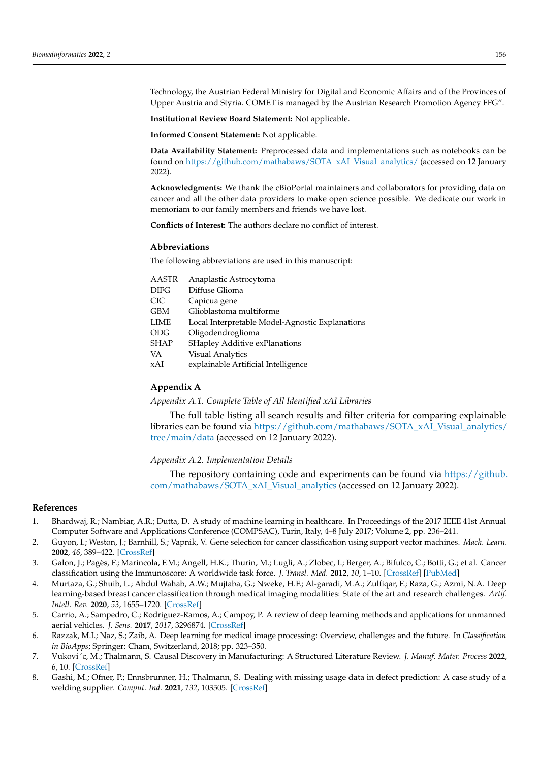Technology, the Austrian Federal Ministry for Digital and Economic Affairs and of the Provinces of Upper Austria and Styria. COMET is managed by the Austrian Research Promotion Agency FFG".

**Institutional Review Board Statement:** Not applicable.

**Informed Consent Statement:** Not applicable.

**Data Availability Statement:** Preprocessed data and implementations such as notebooks can be found on [https://github.com/mathabaws/SOTA\\_xAI\\_Visual\\_analytics/](https://github.com/mathabaws/SOTA_xAI_Visual_analytics/) (accessed on 12 January 2022).

**Acknowledgments:** We thank the cBioPortal maintainers and collaborators for providing data on cancer and all the other data providers to make open science possible. We dedicate our work in memoriam to our family members and friends we have lost.

**Conflicts of Interest:** The authors declare no conflict of interest.

#### **Abbreviations**

The following abbreviations are used in this manuscript:

| AASTR | Anaplastic Astrocytoma                          |
|-------|-------------------------------------------------|
| DIFG  | Diffuse Glioma                                  |
| CIC   | Capicua gene                                    |
| GBM   | Glioblastoma multiforme                         |
| LIME  | Local Interpretable Model-Agnostic Explanations |
| ODG   | Oligodendroglioma                               |
| SHAP  | SHapley Additive exPlanations                   |
| VA    | <b>Visual Analytics</b>                         |
| xAI   | explainable Artificial Intelligence             |
|       |                                                 |

# **Appendix A**

<span id="page-17-6"></span>*Appendix A.1. Complete Table of All Identified xAI Libraries*

The full table listing all search results and filter criteria for comparing explainable libraries can be found via [https://github.com/mathabaws/SOTA\\_xAI\\_Visual\\_analytics/](https://github.com/mathabaws/SOTA_xAI_Visual_analytics/tree/main/data) [tree/main/data](https://github.com/mathabaws/SOTA_xAI_Visual_analytics/tree/main/data) (accessed on 12 January 2022).

<span id="page-17-7"></span>*Appendix A.2. Implementation Details*

The repository containing code and experiments can be found via [https://github.](https://github.com/mathabaws/SOTA_xAI_Visual_analytics) [com/mathabaws/SOTA\\_xAI\\_Visual\\_analytics](https://github.com/mathabaws/SOTA_xAI_Visual_analytics) (accessed on 12 January 2022).

#### **References**

- <span id="page-17-0"></span>1. Bhardwaj, R.; Nambiar, A.R.; Dutta, D. A study of machine learning in healthcare. In Proceedings of the 2017 IEEE 41st Annual Computer Software and Applications Conference (COMPSAC), Turin, Italy, 4–8 July 2017; Volume 2, pp. 236–241.
- <span id="page-17-1"></span>2. Guyon, I.; Weston, J.; Barnhill, S.; Vapnik, V. Gene selection for cancer classification using support vector machines. *Mach. Learn.* **2002**, *46*, 389–422. [\[CrossRef\]](http://doi.org/10.1023/A:1012487302797)
- 3. Galon, J.; Pagès, F.; Marincola, F.M.; Angell, H.K.; Thurin, M.; Lugli, A.; Zlobec, I.; Berger, A.; Bifulco, C.; Botti, G.; et al. Cancer classification using the Immunoscore: A worldwide task force. *J. Transl. Med.* **2012**, *10*, 1–10. [\[CrossRef\]](http://dx.doi.org/10.1186/1479-5876-10-1) [\[PubMed\]](http://www.ncbi.nlm.nih.gov/pubmed/22214470)
- <span id="page-17-2"></span>4. Murtaza, G.; Shuib, L.; Abdul Wahab, A.W.; Mujtaba, G.; Nweke, H.F.; Al-garadi, M.A.; Zulfiqar, F.; Raza, G.; Azmi, N.A. Deep learning-based breast cancer classification through medical imaging modalities: State of the art and research challenges. *Artif. Intell. Rev.* **2020**, *53*, 1655–1720. [\[CrossRef\]](http://dx.doi.org/10.1007/s10462-019-09716-5)
- <span id="page-17-3"></span>5. Carrio, A.; Sampedro, C.; Rodriguez-Ramos, A.; Campoy, P. A review of deep learning methods and applications for unmanned aerial vehicles. *J. Sens.* **2017**, *2017*, 3296874. [\[CrossRef\]](http://dx.doi.org/10.1155/2017/3296874)
- <span id="page-17-4"></span>6. Razzak, M.I.; Naz, S.; Zaib, A. Deep learning for medical image processing: Overview, challenges and the future. In *Classification in BioApps*; Springer: Cham, Switzerland, 2018; pp. 323–350.
- <span id="page-17-5"></span>7. Vukovi´c, M.; Thalmann, S. Causal Discovery in Manufacturing: A Structured Literature Review. *J. Manuf. Mater. Process* **2022**, *6*, 10. [\[CrossRef\]](http://dx.doi.org/10.3390/jmmp6010010)
- 8. Gashi, M.; Ofner, P.; Ennsbrunner, H.; Thalmann, S. Dealing with missing usage data in defect prediction: A case study of a welding supplier. *Comput. Ind.* **2021**, *132*, 103505. [\[CrossRef\]](http://dx.doi.org/10.1016/j.compind.2021.103505)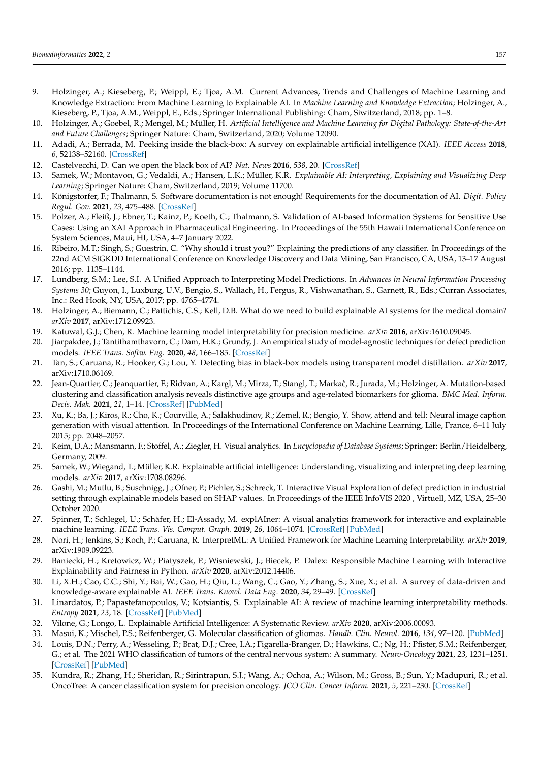- 9. Holzinger, A.; Kieseberg, P.; Weippl, E.; Tjoa, A.M. Current Advances, Trends and Challenges of Machine Learning and Knowledge Extraction: From Machine Learning to Explainable AI. In *Machine Learning and Knowledge Extraction*; Holzinger, A., Kieseberg, P., Tjoa, A.M., Weippl, E., Eds.; Springer International Publishing: Cham, Siwitzerland, 2018; pp. 1–8.
- <span id="page-18-0"></span>10. Holzinger, A.; Goebel, R.; Mengel, M.; Müller, H. *Artificial Intelligence and Machine Learning for Digital Pathology: State-of-the-Art and Future Challenges*; Springer Nature: Cham, Switzerland, 2020; Volume 12090.
- <span id="page-18-1"></span>11. Adadi, A.; Berrada, M. Peeking inside the black-box: A survey on explainable artificial intelligence (XAI). *IEEE Access* **2018**, *6*, 52138–52160. [\[CrossRef\]](http://dx.doi.org/10.1109/ACCESS.2018.2870052)
- <span id="page-18-2"></span>12. Castelvecchi, D. Can we open the black box of AI? *Nat. News* **2016**, *538*, 20. [\[CrossRef\]](http://dx.doi.org/10.1038/538020a)
- <span id="page-18-3"></span>13. Samek, W.; Montavon, G.; Vedaldi, A.; Hansen, L.K.; Müller, K.R. *Explainable AI: Interpreting, Explaining and Visualizing Deep Learning*; Springer Nature: Cham, Switzerland, 2019; Volume 11700.
- <span id="page-18-4"></span>14. Königstorfer, F.; Thalmann, S. Software documentation is not enough! Requirements for the documentation of AI. *Digit. Policy Regul. Gov.* **2021**, *23*, 475–488. [\[CrossRef\]](http://dx.doi.org/10.1108/DPRG-03-2021-0047)
- <span id="page-18-5"></span>15. Polzer, A.; Fleiß, J.; Ebner, T.; Kainz, P.; Koeth, C.; Thalmann, S. Validation of AI-based Information Systems for Sensitive Use Cases: Using an XAI Approach in Pharmaceutical Engineering. In Proceedings of the 55th Hawaii International Conference on System Sciences, Maui, HI, USA, 4–7 January 2022.
- <span id="page-18-6"></span>16. Ribeiro, M.T.; Singh, S.; Guestrin, C. "Why should i trust you?" Explaining the predictions of any classifier. In Proceedings of the 22nd ACM SIGKDD International Conference on Knowledge Discovery and Data Mining, San Francisco, CA, USA, 13–17 August 2016; pp. 1135–1144.
- <span id="page-18-7"></span>17. Lundberg, S.M.; Lee, S.I. A Unified Approach to Interpreting Model Predictions. In *Advances in Neural Information Processing Systems 30*; Guyon, I., Luxburg, U.V., Bengio, S., Wallach, H., Fergus, R., Vishwanathan, S., Garnett, R., Eds.; Curran Associates, Inc.: Red Hook, NY, USA, 2017; pp. 4765–4774.
- <span id="page-18-8"></span>18. Holzinger, A.; Biemann, C.; Pattichis, C.S.; Kell, D.B. What do we need to build explainable AI systems for the medical domain? *arXiv* **2017**, arXiv:1712.09923.
- <span id="page-18-9"></span>19. Katuwal, G.J.; Chen, R. Machine learning model interpretability for precision medicine. *arXiv* **2016**, arXiv:1610.09045.
- <span id="page-18-10"></span>20. Jiarpakdee, J.; Tantithamthavorn, C.; Dam, H.K.; Grundy, J. An empirical study of model-agnostic techniques for defect prediction models. *IEEE Trans. Softw. Eng.* **2020**, *48*, 166–185. [\[CrossRef\]](http://dx.doi.org/10.1109/TSE.2020.2982385)
- <span id="page-18-11"></span>21. Tan, S.; Caruana, R.; Hooker, G.; Lou, Y. Detecting bias in black-box models using transparent model distillation. *arXiv* **2017**, arXiv:1710.06169.
- <span id="page-18-12"></span>22. Jean-Quartier, C.; Jeanquartier, F.; Ridvan, A.; Kargl, M.; Mirza, T.; Stangl, T.; Markaĉ, R.; Jurada, M.; Holzinger, A. Mutation-based clustering and classification analysis reveals distinctive age groups and age-related biomarkers for glioma. *BMC Med. Inform. Decis. Mak.* **2021**, *21*, 1–14. [\[CrossRef\]](http://dx.doi.org/10.1186/s12911-021-01420-1) [\[PubMed\]](http://www.ncbi.nlm.nih.gov/pubmed/33639927)
- <span id="page-18-13"></span>23. Xu, K.; Ba, J.; Kiros, R.; Cho, K.; Courville, A.; Salakhudinov, R.; Zemel, R.; Bengio, Y. Show, attend and tell: Neural image caption generation with visual attention. In Proceedings of the International Conference on Machine Learning, Lille, France, 6–11 July 2015; pp. 2048–2057.
- <span id="page-18-14"></span>24. Keim, D.A.; Mansmann, F.; Stoffel, A.; Ziegler, H. Visual analytics. In *Encyclopedia of Database Systems*; Springer: Berlin/Heidelberg, Germany, 2009.
- <span id="page-18-15"></span>25. Samek, W.; Wiegand, T.; Müller, K.R. Explainable artificial intelligence: Understanding, visualizing and interpreting deep learning models. *arXiv* **2017**, arXiv:1708.08296.
- <span id="page-18-16"></span>26. Gashi, M.; Mutlu, B.; Suschnigg, J.; Ofner, P.; Pichler, S.; Schreck, T. Interactive Visual Exploration of defect prediction in industrial setting through explainable models based on SHAP values. In Proceedings of the IEEE InfoVIS 2020 , Virtuell, MZ, USA, 25–30 October 2020.
- <span id="page-18-17"></span>27. Spinner, T.; Schlegel, U.; Schäfer, H.; El-Assady, M. explAIner: A visual analytics framework for interactive and explainable machine learning. *IEEE Trans. Vis. Comput. Graph.* **2019**, *26*, 1064–1074. [\[CrossRef\]](http://dx.doi.org/10.1109/TVCG.2019.2934629) [\[PubMed\]](http://www.ncbi.nlm.nih.gov/pubmed/31442998)
- <span id="page-18-18"></span>28. Nori, H.; Jenkins, S.; Koch, P.; Caruana, R. InterpretML: A Unified Framework for Machine Learning Interpretability. *arXiv* **2019**, arXiv:1909.09223.
- <span id="page-18-19"></span>29. Baniecki, H.; Kretowicz, W.; Piatyszek, P.; Wisniewski, J.; Biecek, P. Dalex: Responsible Machine Learning with Interactive Explainability and Fairness in Python. *arXiv* **2020**, arXiv:2012.14406.
- <span id="page-18-20"></span>30. Li, X.H.; Cao, C.C.; Shi, Y.; Bai, W.; Gao, H.; Qiu, L.; Wang, C.; Gao, Y.; Zhang, S.; Xue, X.; et al. A survey of data-driven and knowledge-aware explainable AI. *IEEE Trans. Knowl. Data Eng.* **2020**, *34*, 29–49. [\[CrossRef\]](http://dx.doi.org/10.1109/TKDE.2020.2983930)
- 31. Linardatos, P.; Papastefanopoulos, V.; Kotsiantis, S. Explainable AI: A review of machine learning interpretability methods. *Entropy* **2021**, *23*, 18. [\[CrossRef\]](http://dx.doi.org/10.3390/e23010018) [\[PubMed\]](http://www.ncbi.nlm.nih.gov/pubmed/33375658)
- <span id="page-18-21"></span>32. Vilone, G.; Longo, L. Explainable Artificial Intelligence: A Systematic Review. *arXiv* **2020**, arXiv:2006.00093.
- <span id="page-18-23"></span><span id="page-18-22"></span>33. Masui, K.; Mischel, P.S.; Reifenberger, G. Molecular classification of gliomas. *Handb. Clin. Neurol.* **2016**, *134*, 97–120. [\[PubMed\]](http://www.ncbi.nlm.nih.gov/pubmed/26948350)
- 34. Louis, D.N.; Perry, A.; Wesseling, P.; Brat, D.J.; Cree, I.A.; Figarella-Branger, D.; Hawkins, C.; Ng, H.; Pfister, S.M.; Reifenberger, G.; et al. The 2021 WHO classification of tumors of the central nervous system: A summary. *Neuro-Oncology* **2021**, *23*, 1231–1251. [\[CrossRef\]](http://dx.doi.org/10.1093/neuonc/noab106) [\[PubMed\]](http://www.ncbi.nlm.nih.gov/pubmed/34185076)
- <span id="page-18-24"></span>35. Kundra, R.; Zhang, H.; Sheridan, R.; Sirintrapun, S.J.; Wang, A.; Ochoa, A.; Wilson, M.; Gross, B.; Sun, Y.; Madupuri, R.; et al. OncoTree: A cancer classification system for precision oncology. *JCO Clin. Cancer Inform.* **2021**, *5*, 221–230. [\[CrossRef\]](http://dx.doi.org/10.1200/CCI.20.00108)